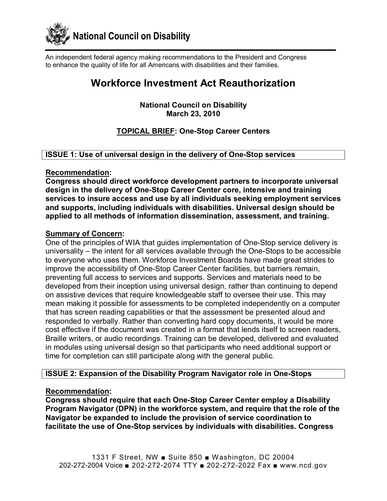

An independent federal agency making recommendations to the President and Congress to enhance the quality of life for all Americans with disabilities and their families.

# **Workforce Investment Act Reauthorization**

**National Council on Disability March 23, 2010** 

## **TOPICAL BRIEF: One-Stop Career Centers**

## **ISSUE 1: Use of universal design in the delivery of One-Stop services**

#### **Recommendation:**

**Congress should direct workforce development partners to incorporate universal**  design in the delivery of One-Stop Career Center core, intensive and training **services to insure access and use by all individuals seeking employment services and supports, including individuals with disabilities. Universal design should be applied to all methods of information dissemination, assessment, and training.** 

#### **Summary of Concern:**

One of the principles of WIA that guides implementation of One-Stop service delivery is universality  $-$  the intent for all services available through the One-Stops to be accessible to everyone who uses them. Workforce Investment Boards have made great strides to improve the accessibility of One-Stop Career Center facilities, but barriers remain, preventing full access to services and supports. Services and materials need to be developed from their inception using universal design, rather than continuing to depend on assistive devices that require knowledgeable staff to oversee their use. This may mean making it possible for assessments to be completed independently on a computer that has screen reading capabilities or that the assessment be presented aloud and responded to verbally. Rather than converting hard copy documents, it would be more cost effective if the document was created in a format that lends itself to screen readers, Braille writers, or audio recordings. Training can be developed, delivered and evaluated in modules using universal design so that participants who need additional support or time for completion can still participate along with the general public.

## **ISSUE 2: Expansion of the Disability Program Navigator role in One-Stops**

## **Recommendation:**

**Congress should require that each One-Stop Career Center employ a Disability Program Navigator (DPN) in the workforce system, and require that the role of the Navigator be expanded to include the provision of service coordination to** facilitate the use of One-Stop services by individuals with disabilities. Congress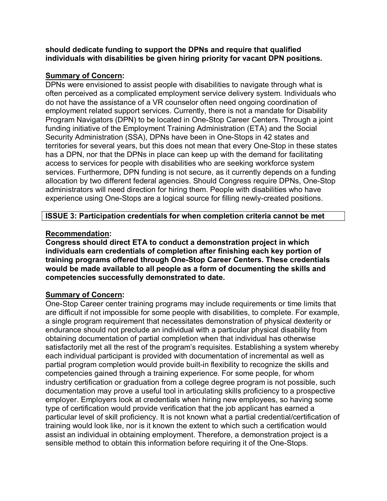**should dedicate funding to support the DPNs and require that qualified individuals with disabilities be given hiring priority for vacant DPN positions.** 

## **Summary of Concern:**

DPNs were envisioned to assist people with disabilities to navigate through what is often perceived as a complicated employment service delivery system. Individuals who do not have the assistance of a VR counselor often need ongoing coordination of employment related support services. Currently, there is not a mandate for Disability Program Navigators (DPN) to be located in One-Stop Career Centers. Through a joint funding initiative of the Employment Training Administration (ETA) and the Social Security Administration (SSA), DPNs have been in One-Stops in 42 states and territories for several years, but this does not mean that every One-Stop in these states has a DPN, nor that the DPNs in place can keep up with the demand for facilitating access to services for people with disabilities who are seeking workforce system services. Furthermore, DPN funding is not secure, as it currently depends on a funding allocation by two different federal agencies. Should Congress require DPNs, One-Stop administrators will need direction for hiring them. People with disabilities who have experience using One-Stops are a logical source for filling newly-created positions.

## **ISSUE 3: Participation credentials for when completion criteria cannot be met**

## **Recommendation:**

**Congress should direct ETA to conduct a demonstration project in which individuals earn credentials of completion after finishing each key portion of** training programs offered through One-Stop Career Centers. These credentials **would be made available to all people as a form of documenting the skills and competencies successfully demonstrated to date.** 

# **Summary of Concern:**

One-Stop Career center training programs may include requirements or time limits that are difficult if not impossible for some people with disabilities, to complete. For example, a single program requirement that necessitates demonstration of physical dexterity or endurance should not preclude an individual with a particular physical disability from obtaining documentation of partial completion when that individual has otherwise satisfactorily met all the rest of the program's requisites. Establishing a system whereby each individual participant is provided with documentation of incremental as well as partial program completion would provide built-in flexibility to recognize the skills and competencies gained through a training experience. For some people, for whom industry certification or graduation from a college degree program is not possible, such documentation may prove a useful tool in articulating skills proficiency to a prospective employer. Employers look at credentials when hiring new employees, so having some type of certification would provide verification that the job applicant has earned a particular level of skill proficiency. It is not known what a partial credential/certification of training would look like, nor is it known the extent to which such a certification would assist an individual in obtaining employment. Therefore, a demonstration project is a sensible method to obtain this information before requiring it of the One-Stops.